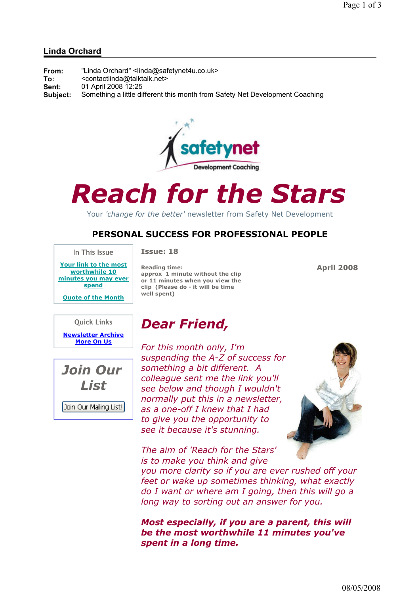### Linda Orchard

| From:    | "Linda Orchard" <linda@safetynet4u.co.uk></linda@safetynet4u.co.uk>          |
|----------|------------------------------------------------------------------------------|
| To:      | <contactlinda@talktalk.net></contactlinda@talktalk.net>                      |
| Sent:    | 01 April 2008 12:25                                                          |
| Subiect: | Something a little different this month from Safety Net Development Coaching |



# Reach for the Stars

Your 'change for the better' newsletter from Safety Net Development

## PERSONAL SUCCESS FOR PROFESSIONAL PEOPLE

In This Issue

Your link to the most worthwhile 10 minutes you may ever spend

Quote of the Month

### Issue: 18

Reading time: approx 1 minute without the clip or 11 minutes when you view the clip (Please do - it will be time well spent)

Dear Friend,

April 2008

### Quick Links

Newsletter Archive More On Us



For this month only, I'm suspending the A-Z of success for something a bit different. A colleague sent me the link you'll see below and though I wouldn't normally put this in a newsletter, as a one-off I knew that I had to give you the opportunity to see it because it's stunning.

The aim of 'Reach for the Stars'

is to make you think and give you more clarity so if you are ever rushed off your feet or wake up sometimes thinking, what exactly do I want or where am I going, then this will go a

long way to sorting out an answer for you.

Most especially, if you are a parent, this will be the most worthwhile 11 minutes you've spent in a long time.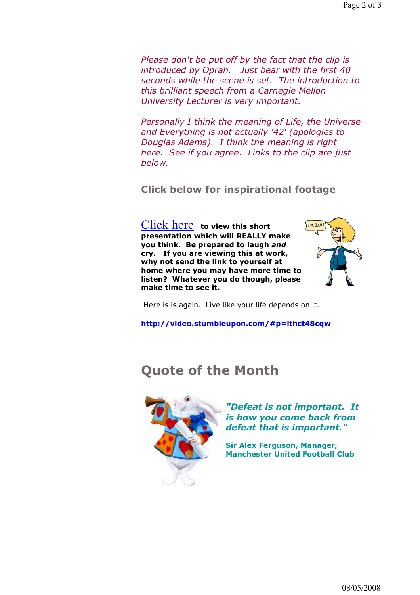Please don't be put off by the fact that the clip is introduced by Oprah. Just bear with the first 40 seconds while the scene is set. The introduction to this brilliant speech from a Carnegie Mellon University Lecturer is very important.

Personally I think the meaning of Life, the Universe and Everything is not actually '42' (apologies to Douglas Adams). I think the meaning is right here. See if you agree. Links to the clip are just below.

Click below for inspirational footage

Click here to view this short presentation which will REALLY make you think. Be prepared to laugh and cry. If you are viewing this at work, why not send the link to yourself at home where you may have more time to listen? Whatever you do though, please make time to see it.



Here is is again. Live like your life depends on it.

http://video.stumbleupon.com/#p=ithct48cqw

# Quote of the Month



"Defeat is not important. It is how you come back from defeat that is important."

Sir Alex Ferguson, Manager, Manchester United Football Club